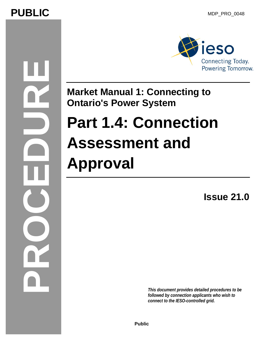# PUBLIC MDP\_PRO\_0048

# **PROCEDURE**



# **Market Manual 1: Connecting to Ontario's Power System**

# **Part 1.4: Connection Assessment and Approval**

**Issue 21.0** 

*This document provides detailed procedures to be followed by connection applicants who wish to connect to the IESO-controlled grid.*

**Public**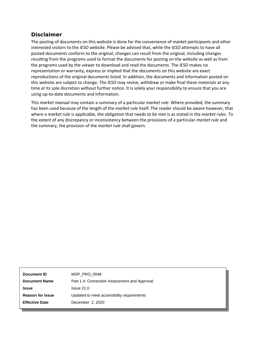### **Disclaimer**

The posting of documents on this website is done for the convenience of *market participants* and other interested visitors to the *IESO* website. Please be advised that, while the *IESO* attempts to have all posted documents conform to the original, changes can result from the original, including changes resulting from the programs used to format the documents for posting on the website as well as from the programs used by the viewer to download and read the documents. The *IESO* makes no representation or warranty, express or implied that the documents on this website are exact reproductions of the original documents listed. In addition, the documents and information posted on this website are subject to change. The *IESO* may revise, withdraw or make final these materials at any time at its sole discretion without further notice. It is solely your responsibility to ensure that you are using up-to-date documents and information.

This *market manual* may contain a summary of a particular *market rule*. Where provided, the summary has been used because of the length of the *market rule* itself. The reader should be aware however, that where a *market rule* is applicable, the obligation that needs to be met is as stated in the *market rules*. To the extent of any discrepancy or inconsistency between the provisions of a particular *market rule* and the summary, the provision of the *market rule* shall govern.

| Document ID             | MDP PRO 0048                                 |
|-------------------------|----------------------------------------------|
| <b>Document Name</b>    | Part 1.4: Connection Assessment and Approval |
| <b>Issue</b>            | Is sue 21.0                                  |
| <b>Reason for Issue</b> | Updated to meet accessibility requirements   |
| <b>Effective Date</b>   | December 2, 2020                             |
|                         |                                              |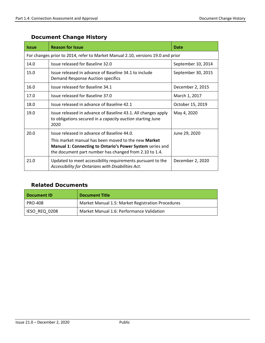| <b>Issue</b> | <b>Reason for Issue</b>                                                                                                                                                           | Date               |  |
|--------------|-----------------------------------------------------------------------------------------------------------------------------------------------------------------------------------|--------------------|--|
|              | For changes prior to 2014, refer to Market Manual 2.10, versions 19.0 and prior                                                                                                   |                    |  |
| 14.0         | Issue released for Baseline 32.0                                                                                                                                                  | September 10, 2014 |  |
| 15.0         | Issue released in advance of Baseline 34.1 to include<br>Demand Response Auction specifics                                                                                        | September 30, 2015 |  |
| 16.0         | Issue released for Baseline 34.1                                                                                                                                                  | December 2, 2015   |  |
| 17.0         | Issue released for Baseline 37.0                                                                                                                                                  |                    |  |
| 18.0         | Issue released in advance of Baseline 42.1                                                                                                                                        | October 15, 2019   |  |
| 19.0         | Issue released in advance of Baseline 43.1. All changes apply<br>to obligations secured in a capacity auction starting June<br>2020                                               | May 4, 2020        |  |
| 20.0         | Issue released in advance of Baseline 44.0.                                                                                                                                       | June 29, 2020      |  |
|              | This market manual has been moved to the new <b>Market</b><br>Manual 1: Connecting to Ontario's Power System series and<br>the document part number has changed from 2.10 to 1.4. |                    |  |
| 21.0         | Updated to meet accessibility requirements pursuant to the<br>Accessibility for Ontarians with Disabilities Act.                                                                  | December 2, 2020   |  |

### **Document Change History**

### **Related Documents**

| Document ID    | <b>Document Title</b>                             |
|----------------|---------------------------------------------------|
| <b>PRO-408</b> | Market Manual 1.5: Market Registration Procedures |
| IESO REQ 0208  | Market Manual 1.6: Performance Validation         |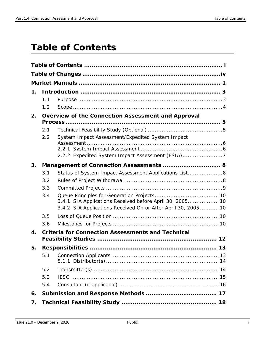# <span id="page-3-0"></span>**Table of Contents**

| 1.                 |                                                    |                                                               |  |
|--------------------|----------------------------------------------------|---------------------------------------------------------------|--|
|                    | 1.1                                                |                                                               |  |
|                    | 1.2                                                |                                                               |  |
| 2.                 | Overview of the Connection Assessment and Approval |                                                               |  |
|                    | 2.1                                                |                                                               |  |
|                    | 2.2                                                | System Impact Assessment/Expedited System Impact              |  |
|                    |                                                    |                                                               |  |
|                    |                                                    | 2.2.2 Expedited System Impact Assessment (ESIA)7              |  |
| 3.                 |                                                    | Management of Connection Assessments  8                       |  |
|                    | 3.1                                                | Status of System Impact Assessment Applications List 8        |  |
|                    | 3.2                                                |                                                               |  |
|                    | 3.3                                                |                                                               |  |
|                    | 3.4                                                | 3.4.1 SIA Applications Received before April 30, 2005 10      |  |
|                    |                                                    | 3.4.2 SIA Applications Received On or After April 30, 2005 10 |  |
|                    | 3.5                                                |                                                               |  |
|                    | 3.6                                                |                                                               |  |
| $\boldsymbol{4}$ . |                                                    | <b>Criteria for Connection Assessments and Technical</b>      |  |
| 5.                 |                                                    |                                                               |  |
|                    |                                                    |                                                               |  |
|                    | 5.2                                                |                                                               |  |
|                    | 5.3                                                |                                                               |  |
|                    | 5.4                                                |                                                               |  |
| 6.                 |                                                    |                                                               |  |
| 7.                 |                                                    |                                                               |  |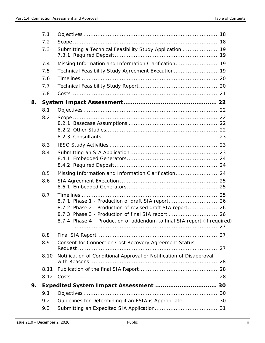|    | 7.1  |                                                                          |  |
|----|------|--------------------------------------------------------------------------|--|
|    | 7.2  |                                                                          |  |
|    | 7.3  | Submitting a Technical Feasibility Study Application  19                 |  |
|    | 7.4  | Missing Information and Information Clarification 19                     |  |
|    | 7.5  | Technical Feasibility Study Agreement Execution 19                       |  |
|    | 7.6  |                                                                          |  |
|    | 7.7  |                                                                          |  |
|    | 7.8  |                                                                          |  |
| 8. |      |                                                                          |  |
|    | 8.1  |                                                                          |  |
|    | 8.2  |                                                                          |  |
|    |      |                                                                          |  |
|    |      |                                                                          |  |
|    |      |                                                                          |  |
|    | 8.3  |                                                                          |  |
|    | 8.4  |                                                                          |  |
|    |      |                                                                          |  |
|    |      |                                                                          |  |
|    | 8.5  | Missing Information and Information Clarification 24                     |  |
|    | 8.6  |                                                                          |  |
|    |      |                                                                          |  |
|    | 8.7  | 8.7.1 Phase 1 - Production of draft SIA report 26                        |  |
|    |      | 8.7.2 Phase 2 - Production of revised draft SIA report 26                |  |
|    |      | 8.7.3 Phase 3 - Production of final SIA report  26                       |  |
|    |      | 8.7.4 Phase 4 - Production of addendum to final SIA report (if required) |  |
|    |      |                                                                          |  |
|    | 8.8  |                                                                          |  |
|    | 8.9  | Consent for Connection Cost Recovery Agreement Status                    |  |
|    | 8.10 | Notification of Conditional Approval or Notification of Disapproval      |  |
|    | 8.11 |                                                                          |  |
|    | 8.12 |                                                                          |  |
| 9. |      | Expedited System Impact Assessment  30                                   |  |
|    | 9.1  |                                                                          |  |
|    | 9.2  | Guidelines for Determining if an ESIA is Appropriate30                   |  |
|    | 9.3  |                                                                          |  |
|    |      |                                                                          |  |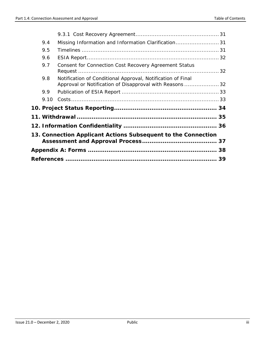| 9.4  | Missing Information and Information Clarification31                                                                     |  |
|------|-------------------------------------------------------------------------------------------------------------------------|--|
| 9.5  |                                                                                                                         |  |
| 9.6  |                                                                                                                         |  |
| 9.7  | Consent for Connection Cost Recovery Agreement Status                                                                   |  |
| 9.8  | Notification of Conditional Approval, Notification of Final<br>Approval or Notification of Disapproval with Reasons  32 |  |
| 9.9  |                                                                                                                         |  |
| 9.10 |                                                                                                                         |  |
|      |                                                                                                                         |  |
|      |                                                                                                                         |  |
|      |                                                                                                                         |  |
|      | 13. Connection Applicant Actions Subsequent to the Connection                                                           |  |
|      |                                                                                                                         |  |
|      |                                                                                                                         |  |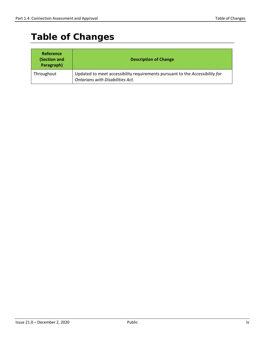# <span id="page-6-0"></span>**Table of Changes**

| <b>Reference</b><br>(Section and<br>Paragraph) | <b>Description of Change</b>                                                                                            |
|------------------------------------------------|-------------------------------------------------------------------------------------------------------------------------|
| Throughout                                     | Updated to meet accessibility requirements pursuant to the Accessibility for<br><b>Ontarians with Disabilities Act.</b> |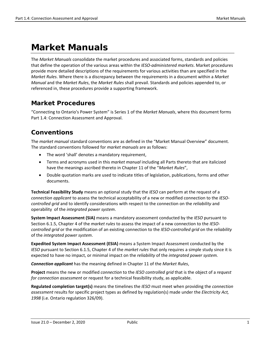# <span id="page-7-0"></span>**Market Manuals**

The *Market Manuals* consolidate the market procedures and associated forms, standards and policies that define the operation of the various areas within the *IESO-administered markets*. Market procedures provide more detailed descriptions of the requirements for various activities than are specified in the *Market Rules*. Where there is a discrepancy between the requirements in a document within a *Market Manual* and the *Market Rules*, the *Market Rules* shall prevail. Standards and policies appended to, or referenced in, these procedures provide a supporting framework.

### **Market Procedures**

"Connecting to Ontario's Power System" is Series 1 of the *Market Manuals*, where this document forms Part 1.4: Connection Assessment and Approval.

### **Conventions**

The *market manual* standard conventions are as defined in the "Market Manual Overview" document. The standard conventions followed for *market manuals* are as follows:

- The word 'shall' denotes a mandatory requirement,
- Terms and acronyms used in this *market manual* including all Parts thereto that are italicized have the meanings ascribed thereto in Chapter 11 of the "*Market Rules*",
- Double quotation marks are used to indicate titles of legislation, publications, forms and other documents.

**Technical Feasibility Study** means an optional study that the *IESO* can perform at the request of a *connection applicant* to assess the technical acceptability of a new or modified connection to the *IESOcontrolled grid* and to identify considerations with respect to the connection on the *reliability* and operability of the *integrated power system*.

**System Impact Assessment (SIA)** means a mandatory assessment conducted by the *IESO* pursuant to Section 6.1.5, Chapter 4 of the *market rules* to assess the impact of a new connection to the *IESOcontrolled grid* or the modification of an existing connection to the *IESO-controlled grid* on the *reliability* of the *integrated power system*.

**Expedited System Impact Assessment (ESIA)** means a System Impact Assessment conducted by the *IESO* pursuant to Section 6.1.5, Chapter 4 of the *market rules* that only requires a simple study since it is expected to have no impact, or minimal impact on the *reliability* of the *integrated power system.*

*Connection applicant* has the meaning defined in Chapter 11 of the *Market Rules*,

**Project** means the new or modified *connection* to the *IESO controlled grid* that is the object of a *request for connection assessment* or request for a technical feasibility study, as applicable.

**Regulated completion target(s)** means the timelines the *IESO* must meet when providing the *connection assessment* results for specific project types as defined by regulation(s) made under the *Electricity Act, 1998* (i.e. Ontario regulation 326/09).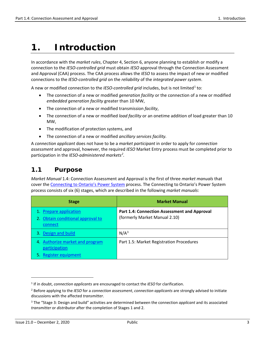# <span id="page-9-0"></span>**1. Introduction**

In accordance with the *market rules*, Chapter 4, Section 6, anyone planning to establish or modify a connection to the *IESO-controlled grid* must obtain *IESO* approval through the Connection Assessment and Approval (CAA) process. The CAA process allows the *IESO* to assess the impact of new or modified connections to the *IESO-controlled grid* on the *reliability* of the *integrated power system*.

A new or modified connection to the *IESO-controlled grid* includes, but is not limited<sup>[1](#page-9-2)</sup> to:

- The connection of a new or modified *generation facility* or the connection of a new or modified *embedded generation facility* greater than 10 MW,
- The connection of a new or modified transmission *facility*,
- The connection of a new or modified *load facility* or an onetime addition of load greater than 10 MW,
- The modification of protection systems, and
- The connection of a new or modified *ancillary services facility.*

A *connection applicant* does not have to be a *market participant* in order to apply for *connection assessment* and approval, however, the required *IESO* Market Entry process must be completed prior to participation in the *IESO-administered markets[2](#page-9-3) .*

### <span id="page-9-1"></span>**1.1 Purpose**

*Market Manual* 1.4: Connection Assessment and Approval is the first of three *market manuals* that cover th[e Connecting to Ontario's Power System](http://www.ieso.ca/Sector-Participants/Connection-Process/Overview) process. The Connecting to Ontario's Power System process consists of six (6) stages, which are described in the following *market manuals*:

| <b>Stage</b>                                                              | <b>Market Manual</b>                                                                 |
|---------------------------------------------------------------------------|--------------------------------------------------------------------------------------|
| 1. Prepare application<br>2. Obtain conditional approval to<br>connect    | <b>Part 1.4: Connection Assessment and Approval</b><br>(formerly Market Manual 2.10) |
| 3. Design and build                                                       | N/A <sup>3</sup>                                                                     |
| 4. Authorize market and program<br>participation<br>5. Register equipment | Part 1.5: Market Registration Procedures                                             |

 $\overline{\phantom{a}}$ 

<span id="page-9-2"></span><sup>1</sup> If in doubt, *connection applicants* are encouraged to contact the *IESO* for clarification.

<span id="page-9-3"></span><sup>2</sup> Before applying to the *IESO* for a *connection assessment*, *connection applicants* are strongly advised to initiate discussions with the affected *transmitter*.

<span id="page-9-4"></span><sup>3</sup> The "Stage 3: Design and build" activities are determined between the connection *applicant* and its associated *transmitter* or *distributor* after the completion of Stages 1 and 2.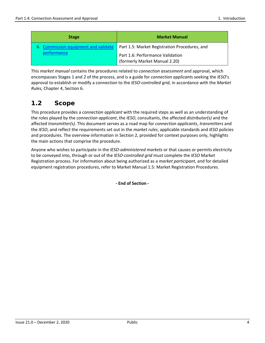| <b>Stage</b>                         | <b>Market Manual</b>                                              |
|--------------------------------------|-------------------------------------------------------------------|
| 6. Commission equipment and validate | Part 1.5: Market Registration Procedures, and                     |
| performance                          | Part 1.6: Performance Validation<br>(formerly Market Manual 2.20) |

This *market manual* contains the procedures related to *connection assessment* and approval, which encompasses Stages 1 and 2 of the process, and is a guide for *connection applicant*s seeking the *IESO*'s approval to establish or modify a connection to the *IESO-controlled grid*, in accordance with the *Market Rules,* Chapter 4, Section 6.

### <span id="page-10-0"></span>**1.2 Scope**

This procedure provides a *connection applicant* with the required steps as well as an understanding of the roles played by the *connection applicant*, the *IESO*, consultants, the affected *distributor(s)* and the affected *transmitter(s)*. This document serves as a road map for *connection applicants*, *transmitters* and the *IESO*, and reflect the requirements set out in the *market rules*, applicable standards and *IESO* policies and procedures. The overview information in Section 2, provided for context purposes only, highlights the main actions that comprise the procedure.

Anyone who wishes to participate in the *IESO-administered markets* or that causes or permits electricity to be conveyed into, through or out of the *IESO-controlled grid* must complete the *IESO* Market Registration process. For information about being authorized as a *market participant*, and for detailed equipment registration procedures, refer to Market Manual 1.5: Market Registration Procedures.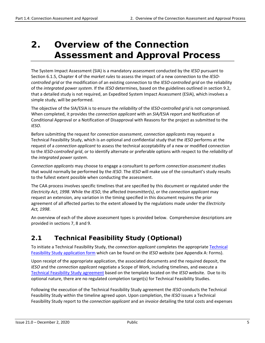# <span id="page-11-0"></span>**2. Overview of the Connection Assessment and Approval Process**

The System Impact Assessment (SIA) is a mandatory assessment conducted by the *IESO* pursuant to Section 6.1.5, Chapter 4 of the *market rules* to assess the impact of a new connection to the *IESOcontrolled grid* or the modification of an existing connection to the *IESO-controlled grid* on the reliability of the *integrated power system*. If the *IESO* determines, based on the guidelines outlined in section 9.2, that a detailed study is not required, an Expedited System Impact Assessment (ESIA), which involves a simple study, will be performed.

The objective of the SIA/ESIA is to ensure the *reliability* of the *IESO-controlled grid* is not compromised. When completed, it provides the *connection applicant* with an *SIA/*ESIA report and Notification of Conditional Approval or a Notification of Disapproval with Reasons for the project as submitted to the *IESO*.

Before submitting the request for *connection assessment*, *connection applicants* may request a Technical Feasibility Study, which is an optional and confidential study that the *IESO* performs at the request of a *connection applicant* to assess the technical acceptability of a new or modified connection to the *IESO-controlled grid*, or to identify alternate or preferable options with respect to the *reliability* of the *integrated power system*.

*Connection applicants* may choose to engage a consultant to perform *connection assessment* studies that would normally be performed by the *IESO*. The *IESO* will make use of the consultant's study results to the fullest extent possible when conducting the assessment.

The CAA process involves specific timelines that are specified by this document or regulated under the *Electricity Act, 1998*. While the *IESO*, the affected *transmitter(s)*, or the *connection applicant* may request an extension, any variation in the timing specified in this document requires the prior agreement of all affected parties to the extent allowed by the regulations made under the *Electricity Act, 1998*.

An overview of each of the above assessment types is provided below. Comprehensive descriptions are provided in sections 7, 8 and 9.

### <span id="page-11-1"></span>**2.1 Technical Feasibility Study (Optional)**

To initiate a Technical Feasibility Study, the *connection applicant* completes the appropriate [Technical](http://www.ieso.ca/en/sector-participants/connection-assessments/technical-feasibility-study) [Feasibility Study application form](http://www.ieso.ca/en/sector-participants/connection-assessments/technical-feasibility-study) which can be found on the *IESO* website (see Appendix A: Forms).

Upon receipt of the appropriate application, the associated documents and the required deposit, the *IESO* and the *connection applicant* negotiate a Scope of Work, including timelines, and execute a [Technical Feasibility Study agreement](http://www.ieso.ca/-/media/Files/IESO/Document-Library/Market-Rules-and-Manuals-Library/market-manuals/market-administration/Technical-Feasibility-Study-Agreement.pdf?la=en) based on the template located on the *IESO* website. Due to its optional nature, there are no regulated completion target(s) for Technical Feasibility Studies.

Following the execution of the Technical Feasibility Study agreement the *IESO* conducts the Technical Feasibility Study within the timeline agreed upon. Upon completion, the *IESO* issues a Technical Feasibility Study report to the *connection applicant* and an *invoice* detailing the total costs and expenses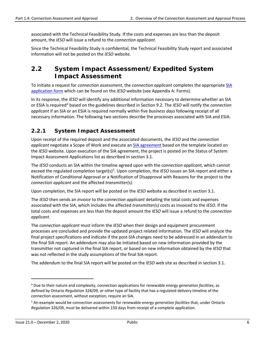associated with the Technical Feasibility Study*.* If the costs and expenses are less than the deposit amount, the *IESO* will issue a refund to the *connection applicant*.

Since the Technical Feasibility Study is confidential, the Technical Feasibility Study report and associated information will not be posted on the *IESO* website.

### <span id="page-12-0"></span>**2.2 System Impact Assessment/Expedited System Impact Assessment**

To initiate a request for *connection assessment*, the *connection applicant* completes the appropriate [SIA](http://www.ieso.ca/en/sector-participants/connection-assessments/obtaining-a-connection-assessment) [application form](http://www.ieso.ca/en/sector-participants/connection-assessments/obtaining-a-connection-assessment) which can be found on the *IESO* website (see Appendix A: Forms).

In its response, the *IESO* will identify any additional information necessary to determine whether an SIA or ESIA is required[4](#page-12-2) based on the guidelines described in Section 9.2. The *IESO* will notify the *connection applicant* if an SIA or an ESIA is required normally within five *business days* following receipt of all necessary information. The following two sections describe the processes associated with SIA and ESIA.

### <span id="page-12-1"></span>**2.2.1 System Impact Assessment**

Upon receipt of the required deposit and the associated documents, the *IESO* and the *connection applicant* negotiate a Scope of Work and execute a[n SIA agreement](http://www.ieso.ca/-/media/Files/IESO/Document-Library/Market-Rules-and-Manuals-Library/market-manuals/connecting/IMP-AGR-0002-SIA-Agreement.pdf?la=en) based on the template located on the *IESO* website. Upon execution of the SIA agreement, the project is posted on the Status of System Impact Assessment Applications list as described in section 3.1.

The *IESO* conducts an SIA within the timeline agreed upon with the *connection applicant*, which cannot exceed the regulated completion target(s)<sup>[5](#page-12-3)</sup>. Upon completion, the *IESO* issues an SIA report and either a Notification of Conditional Approval or a Notification of Disapproval with Reasons for the project to the *connection applicant* and the affected *transmitter(s)*.

Upon completion, the SIA report will be posted on the *IESO* website as described in section 3.1.

The *IESO* then sends an *invoice* to the *connection applicant* detailing the total costs and expenses associated with the SIA, which includes the affected *transmitter(s)* costs as invoiced to the *IESO*. If the total costs and expenses are less than the deposit amount the *IESO* will issue a refund to the *connection applicant*.

The *connection applicant* must inform the *IESO* when their design and equipment procurement processes are concluded and provide the updated project related information. The *IESO* will analyze the final project specifications and indicate if the post-SIA changes need to be addressed in an addendum to the final SIA report. An addendum may also be initiated based on new information provided by the transmitter not captured in the final SIA report, or based on new information obtained by the *IESO* that was not reflected in the study assumptions of the final SIA report.

The addendum to the final SIA report will be posted on the *IESO* web site as described in section 3.1.

 $\overline{\phantom{a}}$ 

<span id="page-12-2"></span><sup>4</sup> Due to their nature and complexity, connection applications for renewable energy *generation facilities*, as defined by Ontario *Regulation* 328/09, or other type of facility that has a regulated delivery timeline of the connection assessment, without exception, require an SIA.

<span id="page-12-3"></span><sup>5</sup> An example would be connection assessments for renewable energy *generation facilities* that, under Ontario *Regulation* 326/09, must be delivered within 150 days from receipt of a complete application.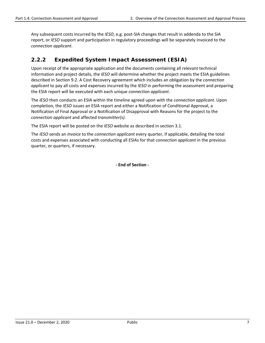Any subsequent costs incurred by the *IESO*, e.g. post-SIA changes that result in addenda to the SIA report, or *IESO* support and participation in regulatory proceedings will be separately invoiced to the *connection applicant*.

### <span id="page-13-0"></span>**2.2.2 Expedited System Impact Assessment (ESIA)**

Upon receipt of the appropriate application and the documents containing all relevant technical information and project details, the *IESO* will determine whether the project meets the ESIA guidelines described in Section 9.2. A Cost Recovery agreement which includes an obligation by the *connection applicant* to pay all costs and expenses incurred by the *IESO* in performing the assessment and preparing the ESIA report will be executed with each unique *connection applicant*.

The *IESO* then conducts an ESIA within the timeline agreed upon with the *connection applicant*. Upon completion, the *IESO* issues an ESIA report and either a Notification of Conditional Approval, a Notification of Final Approval or a Notification of Disapproval with Reasons for the project to the *connection applicant* and affected *transmitter(s)*.

The ESIA report will be posted on the *IESO* website as described in section 3.1.

The *IESO* sends an *invoice* to the *connection applicant* every quarter, if applicable, detailing the total costs and expenses associated with conducting all ESIAs for that *connection applicant* in the previous quarter, or quarters, if necessary.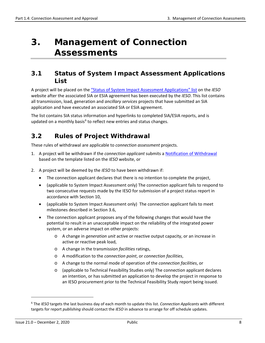# <span id="page-14-0"></span>**3. Management of Connection Assessments**

### <span id="page-14-1"></span>**3.1 Status of System Impact Assessment Applications List**

A project will be placed on the ["Status of System Impact Assessment Applications" list](http://www.ieso.ca/en/sector-participants/connection-assessments/application-status) on the *IESO* website after the associated SIA or ESIA agreement has been executed by the *IESO*. This list contains all transmission, load, generation and *ancillary services* projects that have submitted an SIA application and have executed an associated SIA or ESIA agreement.

The list contains SIA status information and hyperlinks to completed SIA/ESIA reports, and is updated on a monthly basis<sup>[6](#page-14-3)</sup> to reflect new entries and status changes.

### <span id="page-14-2"></span>**3.2 Rules of Project Withdrawal**

These rules of withdrawal are applicable to *connection assessment* projects.

- 1. A project will be withdrawn if the *connection applicant* submits a [Notification of Withdrawal](http://www.ieso.ca/en/sector-participants/market-operations/-/media/f0d0c4bfab3949fab7c08c2c1db3260f.ashx) based on the template listed on the *IESO* website, or
- 2. A project will be deemed by the *IESO* to have been withdrawn if:
	- The connection applicant declares that there is no intention to complete the project,
	- (applicable to System Impact Assessment only) The connection applicant fails to respond to two consecutive requests made by the IESO for submission of a project status report in accordance with Section 10,
	- (applicable to System Impact Assessment only) The connection applicant fails to meet milestones described in Section 3.6,
	- The connection applicant proposes any of the following changes that would have the potential to result in an unacceptable impact on the reliability of the integrated power system, or an adverse impact on other projects:
		- o A change in *generation unit* active or reactive output capacity, or an increase in active or reactive peak load,
		- o A change in the transmission *facilities* ratings,
		- o A modification to the *connection point*, or *connection facilities*,
		- o A change to the normal mode of operation of the *connection facilities*, or
		- o (applicable to Technical Feasibility Studies only) The connection applicant declares an intention, or has submitted an application to develop the project in response to an IESO procurement prior to the Technical Feasibility Study report being issued.

l

<span id="page-14-3"></span><sup>6</sup> The *IESO* targets the last business day of each month to update this list. *Connection Applicants* with different targets for report *publishing* should contact the *IESO* in advance to arrange for off schedule updates.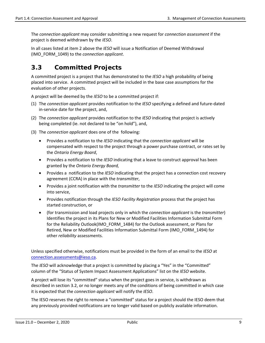The *connection applicant* may consider submitting a new request for *connection assessment* if the project is deemed withdrawn by the *IESO*.

In all cases listed at item 2 above the *IESO* will issue a Notification of Deemed Withdrawal (IMO\_FORM\_1049) to the *connection applicant*.

### <span id="page-15-0"></span>**3.3 Committed Projects**

A committed project is a project that has demonstrated to the *IESO* a high probability of being placed into service. A committed project will be included in the base case assumptions for the evaluation of other projects.

A project will be deemed by the *IESO* to be a committed project if:

- (1) The *connection applicant* provides notification to the *IESO* specifying a defined and future-dated in-service date for the project, and,
- (2) The *connection applicant* provides notification to the *IESO* indicating that project is actively being completed (ie. not declared to be "on hold"), and,
- (3) The *connection applicant* does one of the following:
	- Provides a notification to the *IESO* indicating that the *connection applicant* will be compensated with respect to the project through a power purchase contract, or rates set by the *Ontario Energy Board*,
	- Provides a notification to the *IESO* indicating that a leave to construct approval has been granted by the *Ontario Energy Board,*
	- Provides a notification to the *IESO* indicating that the project has a connection cost recovery agreement (CCRA) in place with the *transmitter*,
	- Provides a joint notification with the *transmitter* to the *IESO* indicating the project will come into service,
	- Provides notification through the *IESO Facility Registration* process that the project has started construction, or
	- (for transmission and load projects only in which the *connection applicant* is the *transmitter*) Identifies the project in its Plans for New or Modified Facilities Information Submittal Form for the Reliability Outlook(IMO\_FORM\_1484) for the Outlook assessment, or Plans for Retired, New or Modified Facilities Information Submittal Form (IMO\_FORM\_1494) for other *reliability* assessments.

Unless specified otherwise, notifications must be provided in the form of an email to the *IESO* at [connection.assessments@ieso.ca.](http://intranet/collaboration/Projects/AppData/Local/Microsoft/Windows/Temporary%20Internet%20Files/Content.Outlook/Status%20Letters/connection.assessments@ieso.ca)

The *IESO* will acknowledge that a project is committed by placing a "Yes" in the "Committed" column of the "Status of System Impact Assessment Applications" list on the *IESO* website.

A project will lose its "committed" status when the project goes in service, is withdrawn as described in section 3.2, or no longer meets any of the conditions of being committed in which case it is expected that the *connection applicant* will notify the *IESO*.

The IESO reserves the right to remove a "committed" status for a project should the IESO deem that any previously provided notifications are no longer valid based on publicly available information.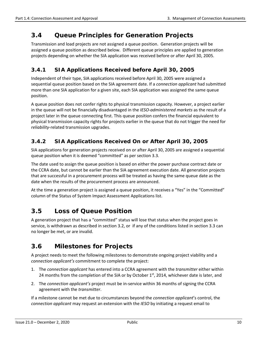### <span id="page-16-0"></span>**3.4 Queue Principles for Generation Projects**

Transmission and load projects are not assigned a queue position. Generation projects will be assigned a queue position as described below. Different queue principles are applied to generation projects depending on whether the SIA application was received before or after April 30, 2005.

### <span id="page-16-1"></span>**3.4.1 SIA Applications Received before April 30, 2005**

Independent of their type, SIA applications received before April 30, 2005 were assigned a sequential queue position based on the SIA agreement date. If a *connection applicant* had submitted more than one SIA application for a given site, each SIA application was assigned the same queue position.

A queue position does not confer rights to physical transmission capacity. However, a project earlier in the queue will not be financially disadvantaged in the *IESO-administered markets* as the result of a project later in the queue connecting first. This queue position confers the financial equivalent to physical transmission capacity rights for projects earlier in the queue that do not trigger the need for *reliability*-related transmission upgrades.

### <span id="page-16-2"></span>**3.4.2 SIA Applications Received On or After April 30, 2005**

SIA applications for generation projects received on or after April 30, 2005 are assigned a sequential queue position when it is deemed "committed" as per section 3.3.

The date used to assign the queue position is based on either the power purchase contract date or the CCRA date, but cannot be earlier than the SIA agreement execution date. All generation projects that are successful in a procurement process will be treated as having the same queue date as the date when the results of the procurement process are announced.

At the time a generation project is assigned a queue position, it receives a "Yes" in the "Committed" column of the Status of System Impact Assessment Applications list.

### <span id="page-16-3"></span>**3.5 Loss of Queue Position**

A generation project that has a "committed" status will lose that status when the project goes in service, is withdrawn as described in section 3.2, or if any of the conditions listed in section 3.3 can no longer be met, or are invalid.

### <span id="page-16-4"></span>**3.6 Milestones for Projects**

A project needs to meet the following milestones to demonstrate ongoing project viability and a *connection applicant's* commitment to complete the project:

- 1. The *connection applicant* has entered into a CCRA agreement with the *transmitter* either within 24 months from the completion of the SIA or by October  $1<sup>st</sup>$ , 2014, whichever date is later, and
- 2. The *connection applicant's* project must be in-service within 36 months of signing the CCRA agreement with the *transmitter*.

If a milestone cannot be met due to circumstances beyond the *connection applicant*'s control, the *connection applicant* may request an extension with the *IESO* by initiating a request email to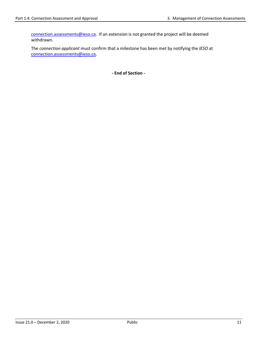[connection.assessments@ieso.ca.](mailto:connection.assessments@ieso.ca) If an extension is not granted the project will be deemed withdrawn.

The *connection applicant* must confirm that a milestone has been met by notifying the *IESO* at [connection.assessments@ieso.ca.](mailto:connection.assessments@ieso.ca)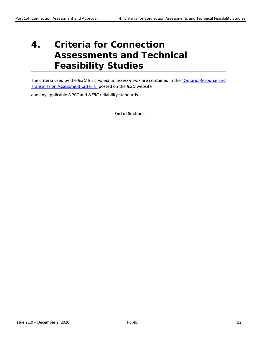# <span id="page-18-0"></span>**4. Criteria for Connection Assessments and Technical Feasibility Studies**

The criteria used by the *IESO* for *connection assessments* are contained in the ["Ontario Resource and](http://www.ieso.ca/en/sector-participants/market-operations/-/media/da81cdef4ecc48db95b2508b2a8959e7.ashx)  [Transmission Assessment Criteria"](http://www.ieso.ca/en/sector-participants/market-operations/-/media/da81cdef4ecc48db95b2508b2a8959e7.ashx) posted on the *IESO* website

and any applicable *NPCC* and *NERC* reliability standards.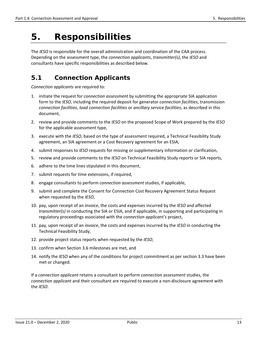# <span id="page-19-0"></span>**5. Responsibilities**

The *IESO* is responsible for the overall administration and coordination of the CAA process. Depending on the assessment type, the *connection applicants*, *transmitter(s)*, the *IESO* and consultants have specific responsibilities as described below.

### <span id="page-19-1"></span>**5.1 Connection Applicants**

*Connection applicants* are required to:

- 1. initiate the request for *connection assessment* by submitting the appropriate SIA application form to the *IESO*, including the required deposit for generator *connection facilities*, transmission *connection facilities*, *load connection facilities* or *ancillary service facilities*, as described in this document,
- 2. review and provide comments to the *IESO* on the proposed Scope of Work prepared by the *IESO* for the applicable assessment type,
- 3. execute with the *IESO*, based on the type of assessment required, a Technical Feasibility Study agreement, an SIA agreement or a Cost Recovery agreement for an ESIA,
- 4. submit responses to *IESO* requests for missing or supplementary information or clarification,
- 5. review and provide comments to the *IESO* on Technical Feasibility Study reports or SIA reports,
- 6. adhere to the time lines stipulated in this document,
- 7. submit requests for time extensions, if required,
- 8. engage consultants to perform *connection assessment* studies, if applicable,
- 9. submit and complete the Consent for Connection Cost Recovery Agreement Status Request when requested by the *IESO*,
- 10. pay, upon receipt of an *invoice*, the costs and expenses incurred by the *IESO* and affected *transmitter(s)* in conducting the SIA or ESIA, and if applicable, in supporting and participating in regulatory proceedings associated with the *connection applicant's* project,
- 11. pay, upon receipt of an *invoice*, the costs and expenses incurred by the *IESO* in conducting the Technical Feasibility Study,
- 12. provide project status reports when requested by the *IESO*,
- 13. confirm when Section 3.6 milestones are met, and
- 14. notify the *IESO* when any of the conditions for project commitment as per section 3.3 have been met or changed.

If a *connection applicant* retains a consultant to perform *connection assessment* studies, the *connection applicant* and their consultant are required to execute a non-disclosure agreement with the *IESO*.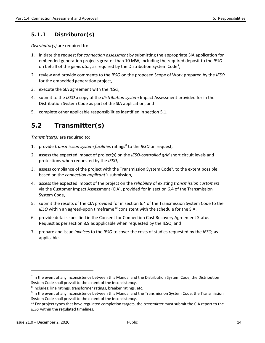### <span id="page-20-0"></span>**5.1.1 Distributor(s)**

*Distributor(s)* are required to:

- 1. initiate the request for *connection assessment* by submitting the appropriate SIA application for embedded generation projects greater than 10 MW, including the required deposit to the *IESO* on behalf of the *generator*, as required by the Distribution System Code<sup>[7](#page-20-2)</sup>,
- 2. review and provide comments to the *IESO* on the proposed Scope of Work prepared by the *IESO* for the embedded generation project,
- 3. execute the SIA agreement with the *IESO*,
- 4. submit to the *IESO* a copy of the *distribution system* Impact Assessment provided for in the Distribution System Code as part of the SIA application, and
- 5. complete other applicable responsibilities identified in section 5.1.

### <span id="page-20-1"></span>**5.2 Transmitter(s)**

*Transmitter(s)* are required to:

- 1. provide *transmission system facilities* ratings<sup>[8](#page-20-3)</sup> to the *IESO* on request,
- 2. assess the expected impact of project(s) on the *IESO-controlled grid* short circuit levels and protections when requested by the *IESO*,
- 3. assess compliance of the project with the Transmission System Code<sup>[9](#page-20-4)</sup>, to the extent possible, based on the *connection applicant's* submission,
- 4. assess the expected impact of the project on the *reliability* of existing *transmission customers* via the Customer Impact Assessment (CIA), provided for in section 6.4 of the Transmission System Code,
- 5. submit the results of the CIA provided for in section 6.4 of the Transmission System Code to the *IESO* within an agreed-upon timeframe<sup>[10](#page-20-5)</sup> consistent with the schedule for the SIA,
- 6. provide details specified in the Consent for Connection Cost Recovery Agreement Status Request as per section 8.9 as applicable when requested by the IESO, and
- 7. prepare and issue *invoices* to the *IESO* to cover the costs of studies requested by the *IESO,* as applicable.

 $\overline{\phantom{a}}$ 

<span id="page-20-2"></span> $<sup>7</sup>$  In the event of any inconsistency between this Manual and the Distribution System Code, the Distribution</sup> System Code shall prevail to the extent of the inconsistency.

<span id="page-20-3"></span><sup>8</sup> Includes: line ratings, transformer ratings, breaker ratings, etc.

<span id="page-20-4"></span><sup>9</sup> In the event of any inconsistency between this Manual and the Transmission System Code, the Transmission System Code shall prevail to the extent of the inconsistency.

<span id="page-20-5"></span><sup>10</sup> For project types that have regulated completion targets, the *transmitter* must submit the CIA report to the *IESO* within the regulated timelines.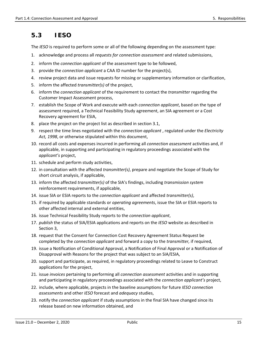### <span id="page-21-0"></span>**5.3 IESO**

The *IESO* is required to perform some or all of the following depending on the assessment type:

- 1. acknowledge and process all *requests for connection assessment* and related submissions,
- 2. inform the *connection applicant* of the assessment type to be followed,
- 3. provide the *connection applicant* a CAA ID number for the project(s),
- 4. review project data and issue requests for missing or supplementary information or clarification,
- 5. inform the affected *transmitter(s)* of the project,
- 6. inform the *connection applicant* of the requirement to contact the *transmitter* regarding the Customer Impact Assessment process,
- 7. establish the Scope of Work and execute with each *connection applicant*, based on the type of assessment required, a Technical Feasibility Study agreement, an SIA agreement or a Cost Recovery agreement for ESIA,
- 8. place the project on the project list as described in section 3.1,
- 9. respect the time lines negotiated with the *connection applicant* , regulated under the *Electricity Act, 1998*, or otherwise stipulated within this document,
- 10. record all costs and expenses incurred in performing all *connection assessment* activities and, if applicable, in supporting and participating in regulatory proceedings associated with the *applicant's* project,
- 11. schedule and perform study activities,
- 12. in consultation with the affected *transmitter(s)*, prepare and negotiate the Scope of Study for short circuit analysis, if applicable,
- 13. inform the affected *transmitter(s)* of the SIA's findings, including *transmission system* reinforcement requirements, if applicable,
- 14. issue SIA or ESIA reports to the *connection applicant* and affected *transmitter(s)*,
- 15. if required by applicable standards or *operating agreements*, issue the SIA or ESIA reports to other affected internal and external entities,
- 16. issue Technical Feasibility Study reports to the *connection applicant*,
- 17. *publish* the status of SIA/ESIA applications and reports on the *IESO* website as described in Section 3,
- 18. request that the Consent for Connection Cost Recovery Agreement Status Request be completed by the *connection applicant* and forward a copy to the *transmitter,* if required,
- 19. issue a Notification of Conditional Approval, a Notification of Final Approval or a Notification of Disapproval with Reasons for the project that was subject to an SIA/ESIA,
- 20. support and participate, as required, in regulatory proceedings related to Leave to Construct applications for the project,
- 21. issue *invoices* pertaining to performing all *connection assessment* activities and in supporting and participating in regulatory proceedings associated with the *connection applicant's* project,
- 22. include, where applicable, projects in the baseline assumptions for future *IESO connection assessments* and other *IESO* forecast and *adequacy* studies,
- 23. notify the *connection applicant* if study assumptions in the final SIA have changed since its release based on new information obtained, and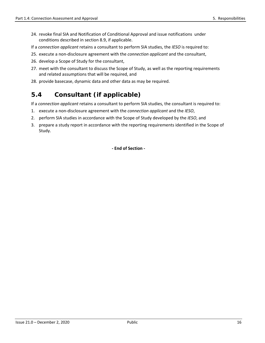- 24. revoke final SIA and Notification of Conditional Approval and issue notifications under conditions described in section 8.9, if applicable.
- If a *connection applicant* retains a consultant to perform SIA studies, the *IESO* is required to:
- 25. execute a non-disclosure agreement with the *connection applicant* and the consultant,
- 26. develop a Scope of Study for the consultant,
- 27. meet with the consultant to discuss the Scope of Study, as well as the reporting requirements and related assumptions that will be required, and
- 28. provide basecase, dynamic data and other data as may be required.

### <span id="page-22-0"></span>**5.4 Consultant (if applicable)**

If a *connection applicant* retains a consultant to perform SIA studies, the consultant is required to:

- 1. execute a non-disclosure agreement with the *connection applicant* and the *IESO*,
- 2. perform SIA studies in accordance with the Scope of Study developed by the *IESO*, and
- 3. prepare a study report in accordance with the reporting requirements identified in the Scope of Study.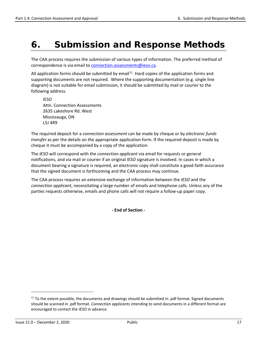# <span id="page-23-0"></span>**6. Submission and Response Methods**

The CAA process requires the submission of various types of information. The preferred method of correspondence is via email to [connection.assessments@ieso.ca.](mailto:connection.assessments@ieso.ca)

All application forms should be submitted by email<sup>[11](#page-23-1)</sup>. Hard copies of the application forms and supporting documents are not required. Where the supporting documentation (e.g. single line diagram) is not suitable for email submission, it should be submitted by mail or courier to the following address.

IESO Attn. Connection Assessments 2635 Lakeshore Rd. West Mississauga, ON L5J 4R9

The required deposit for a *connection assessment* can be made by cheque or by *electronic funds transfer* as per the details on the appropriate application form. If the required deposit is made by cheque it must be accompanied by a copy of the application.

The *IESO* will correspond with the *connection applicant* via email for requests or general notifications, and via mail or courier if an original *IESO* signature is involved. In cases in which a document bearing a signature is required, an electronic copy shall constitute a good-faith assurance that the signed document is forthcoming and the CAA process may continue.

The CAA process requires an extensive exchange of information between the *IESO* and the *connection applicant*, necessitating a large number of emails and telephone calls. Unless any of the parties requests otherwise, emails and phone calls will not require a follow-up paper copy.

**- End of Section -** 

 $\overline{\phantom{a}}$ 

<span id="page-23-1"></span><sup>&</sup>lt;sup>11</sup> To the extent possible, the documents and drawings should be submitted in .pdf format. Signed documents should be scanned in .pdf format. *Connection applicants* intending to send documents in a different format are encouraged to contact the *IESO* in advance.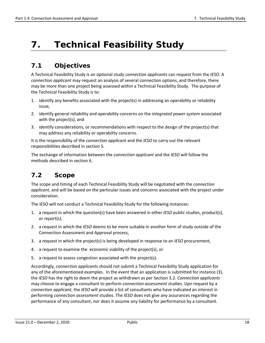# <span id="page-24-0"></span>**7. Technical Feasibility Study**

### <span id="page-24-1"></span>**7.1 Objectives**

A Technical Feasibility Study is an optional study *connection applicants* can request from the *IESO*. A *connection applicant* may request an analysis of several connection options, and therefore, there may be more than one project being assessed within a Technical Feasibility Study. The purpose of the Technical Feasibility Study is to:

- 1. identify any benefits associated with the project(s) in addressing an operability or reliability issue,
- 2. identify general reliability and operability concerns on the *integrated power system* associated with the project(s), and
- 3. identify considerations, or recommendations with respect to the design of the project(s) that may address any reliability or operability concerns.

It is the responsibility of the *connection applicant* and the *IESO* to carry out the relevant responsibilities described in section 5.

The exchange of information between the *connection applicant* and the *IESO* will follow the methods described in section 6.

### <span id="page-24-2"></span>**7.2 Scope**

The scope and timing of each Technical Feasibility Study will be negotiated with the *connection applicant*, and will be based on the particular issues and concerns associated with the project under consideration.

The IESO will not conduct a Technical Feasibility Study for the following instances:

- 1. a request in which the question(s) have been answered in other *IESO* public studies, product(s), or report(s),
- 2. a request in which the *IESO* deems to be more suitable in another form of study outside of the Connection Assessment and Approval process,
- 3. a request in which the project(s) is being developed in response to an *IESO* procurement,
- 4. a request to examine the economic viability of the project(s), or
- 5. a request to assess congestion associated with the project(s).

Accordingly, *connection applicants* should not submit a Technical Feasibility Study application for any of the aforementioned examples. In the event that an application is submitted for instance (3), the *IESO* has the right to deem the project as withdrawn as per Section 3.2. *Connection applicants* may choose to engage a consultant to perform *connection assessment* studies. Upn request by a *connection applicant*, the *IESO* will provide a list of consultants who have indicated an interest in performing *connection assessment* studies. The *IESO* does not give any assurances regarding the performance of any consultant, nor does it assume any liability for performance by a consultant.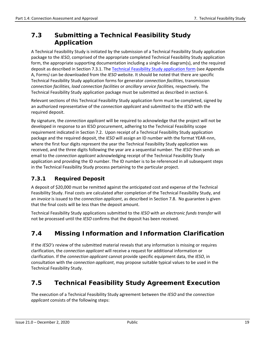### <span id="page-25-0"></span>**7.3 Submitting a Technical Feasibility Study Application**

A Technical Feasibility Study is initiated by the submission of a Technical Feasibility Study application package to the *IESO*, comprised of the appropriate completed Technical Feasibility Study application form, the appropriate supporting documentation including a single-line diagram(s), and the required deposit as described in Section 7.3.1. The [Technical Feasibility Study application form](http://www.ieso.ca/en/sector-participants/connection-assessments/technical-feasibility-study) (see Appendix A, Forms*)* can be downloaded from the *IESO* website. It should be noted that there are specific Technical Feasibility Study application forms for generator *connection facilities*, transmission *connection facilities*, *load connection facilities* or *ancillary service facilities,* respectively. The Technical Feasibility Study application package must be submitted as described in section 6.

Relevant sections of this Technical Feasibility Study application form must be completed, signed by an authorized representative of the *connection applicant* and submitted to the *IESO* with the required deposit.

By signature, the *connection applicant* will be required to acknowledge that the project will not be developed in response to an IESO procurement, adhering to the Technical Feasibility scope requirement indicated in Section 7.2. Upon receipt of a Technical Feasibility Study application package and the required deposit, the *IESO* will assign an ID number with the format YEAR-nnn, where the first four digits represent the year the Technical Feasibility Study application was received, and the three digits following the year are a sequential number. The *IESO* then sends an email to the *connection applicant* acknowledging receipt of the Technical Feasibility Study application and providing the ID number. The ID number is to be referenced in all subsequent steps in the Technical Feasibility Study process pertaining to the particular project.

### <span id="page-25-1"></span>**7.3.1 Required Deposit**

A deposit of \$20,000 must be remitted against the anticipated cost and expense of the Technical Feasibility Study. Final costs are calculated after completion of the Technical Feasibility Study, and an *invoice* is issued to the *connection applicant*, as described in Section 7.8. No guarantee is given that the final costs will be less than the deposit amount.

Technical Feasibility Study applications submitted to the *IESO* with an *electronic funds transfer* will not be processed until the *IESO* confirms that the deposit has been received.

### <span id="page-25-2"></span>**7.4 Missing Information and Information Clarification**

If the *IESO's* review of the submitted material reveals that any information is missing or requires clarification, the *connection applicant* will receive a request for additional information or clarification. If the *connection applicant* cannot provide specific equipment data, the *IESO*, in consultation with the *connection applicant*, may propose suitable typical values to be used in the Technical Feasibility Study.

### <span id="page-25-3"></span>**7.5 Technical Feasibility Study Agreement Execution**

The execution of a Technical Feasibility Study agreement between the *IESO* and the *connection applicant* consists of the following steps: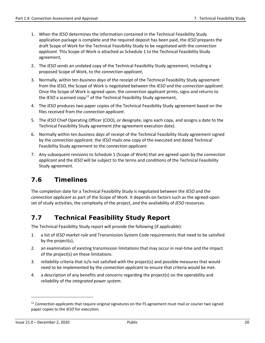- 1. When the *IESO* determines the information contained in the Technical Feasibility Study application package is complete and the required deposit has been paid, the *IESO* prepares the draft Scope of Work for the Technical Feasibility Study to be negotiated with the *connection applicant*. This Scope of Work is attached as Schedule 1 to the Technical Feasibility Study agreement,
- 2. The *IESO* sends an undated copy of the Technical Feasibility Study agreement, including a proposed Scope of Work, to the *connection applicant*,
- 3. Normally, within ten *business days* of the receipt of the Technical Feasibility Study agreement from the *IESO*, the Scope of Work is negotiated between the *IESO* and the *connection applicant*. Once the Scope of Work is agreed upon, the *connection applicant* prints, signs and returns to the *IESO* a scanned copy<sup>[12](#page-26-2)</sup> of the Technical Feasibility Study agreement,
- 4. The *IESO* produces two paper copies of the Technical Feasibility Study agreement based on the files received from the *connection applicant*.
- 5. The *IESO* Chief Operating Officer (COO), or designate, signs each copy, and assigns a date to the Technical Feasibility Study agreement (the agreement execution date).
- 6. Normally within ten *business days* of receipt of the Technical Feasibility Study agreement signed by the *connection applicant*, the *IESO* mails one copy of the executed and dated Technical Feasibility Study agreement to the *connection applicant*.
- 7. Any subsequent revisions to Schedule 1 (Scope of Work) that are agreed upon by the *connection applicant* and the *IESO* will be subject to the terms and conditions of the Technical Feasibility Study agreement.

### <span id="page-26-0"></span>**7.6 Timelines**

The completion date for a Technical Feasibility Study is negotiated between the *IESO* and the *connection applicant* as part of the Scope of Work. It depends on factors such as the agreed-upon set of study activities, the complexity of the project, and the availability of *IESO* resources.

### <span id="page-26-1"></span>**7.7 Technical Feasibility Study Report**

The Technical Feasibility Study report will provide the following (if applicable):

- 1. a list of *IESO market rule* and Transmission System Code requirements that need to be satisfied by the project(s),
- 2. an examination of existing transmission limitations that may occur in real-time and the impact of the project(s) on these limitations.
- 3. *reliability* criteria that is/is not satisfied with the project(s) and possible measures that would need to be implemented by the *connection applicant* to ensure that criteria would be met.
- 4. a description of any benefits and concerns regarding the project(s) on the operability and *reliability* of the *integrated power system*.

l

<span id="page-26-2"></span><sup>12</sup> *Connection applicants* that require original signatures on the FS agreement must mail or courier two signed paper copies to the *IESO* for execution.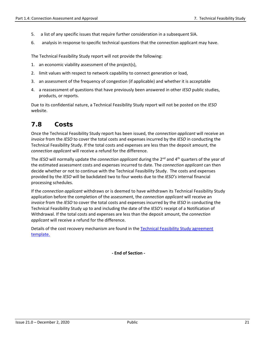- 5. a list of any specific issues that require further consideration in a subsequent SIA.
- 6. analysis in response to specific technical questions that the connection applicant may have.

The Technical Feasibility Study report will not provide the following:

- 1. an economic viability assessment of the project(s),
- 2. limit values with respect to network capability to connect generation or load,
- 3. an assessment of the frequency of congestion (if applicable) and whether it is acceptable
- 4. a reassessment of questions that have previously been answered in other *IESO* public studies, products, or reports.

Due to its confidential nature, a Technical Feasibility Study report will not be posted on the *IESO* website.

### <span id="page-27-0"></span>**7.8 Costs**

Once the Technical Feasibility Study report has been issued, the *connection applicant* will receive an *invoice* from the *IESO* to cover the total costs and expenses incurred by the *IESO* in conducting the Technical Feasibility Study. If the total costs and expenses are less than the deposit amount, the *connection applicant* will receive a refund for the difference.

The *IESO* will normally update the *connection applicant* during the 2nd and 4th quarters of the year of the estimated assessment costs and expenses incurred to date. The *connection applicant* can then decide whether or not to continue with the Technical Feasibility Study. The costs and expenses provided by the *IESO* will be backdated two to four weeks due to the *IESO's* internal financial processing schedules.

If the *connection applicant* withdraws or is deemed to have withdrawn its Technical Feasibility Study application before the completion of the assessment, the *connection applicant* will receive an *invoice* from the *IESO* to cover the total costs and expenses incurred by the *IESO* in conducting the Technical Feasibility Study up to and including the date of the *IESO's* receipt of a Notification of Withdrawal. If the total costs and expenses are less than the deposit amount, the *connection applicant* will receive a refund for the difference.

Details of the cost recovery mechanism are found in th[e Technical Feasibility Study](http://www.ieso.ca/-/media/Files/IESO/Document-Library/Market-Rules-and-Manuals-Library/market-manuals/market-administration/Technical-Feasibility-Study-Agreement.pdf?la=en) agreement [template.](http://www.ieso.ca/-/media/Files/IESO/Document-Library/Market-Rules-and-Manuals-Library/market-manuals/market-administration/Technical-Feasibility-Study-Agreement.pdf?la=en)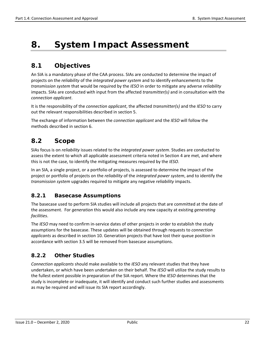# <span id="page-28-0"></span>**8. System Impact Assessment**

### <span id="page-28-1"></span>**8.1 Objectives**

An SIA is a mandatory phase of the CAA process. SIAs are conducted to determine the impact of projects on the *reliability* of the *integrated power system* and to identify enhancements to the *transmission system* that would be required by the *IESO* in order to mitigate any adverse *reliability* impacts. SIAs are conducted with input from the affected *transmitter(s)* and in consultation with the *connection applicant*.

It is the responsibility of the *connection applicant*, the affected *transmitter(s)* and the *IESO* to carry out the relevant responsibilities described in section 5.

The exchange of information between the *connection applicant* and the *IESO* will follow the methods described in section 6.

### <span id="page-28-2"></span>**8.2 Scope**

SIAs focus is on *reliability* issues related to the *integrated power system*. Studies are conducted to assess the extent to which all applicable assessment criteria noted in Section 4 are met, and where this is not the case, to identify the mitigating measures required by the *IESO*.

In an SIA, a single project, or a portfolio of projects, is assessed to determine the impact of the project or portfolio of projects on the *reliability* of the *integrated power system*, and to identify the *transmission system* upgrades required to mitigate any negative *reliability* impacts.

### <span id="page-28-3"></span>**8.2.1 Basecase Assumptions**

The basecase used to perform SIA studies will include all projects that are committed at the date of the assessment. For *generation* this would also include any new capacity at existing *generating facilities*.

The *IESO* may need to confirm in-service dates of other projects in order to establish the study assumptions for the basecase. These updates will be obtained through requests to *connection applicants* as described in section 10. Generation projects that have lost their queue position in accordance with section 3.5 will be removed from basecase assumptions.

### <span id="page-28-4"></span>**8.2.2 Other Studies**

*Connection applicants* should make available to the *IESO* any relevant studies that they have undertaken, or which have been undertaken on their behalf. The *IESO* will utilize the study results to the fullest extent possible in preparation of the SIA report. Where the *IESO* determines that the study is incomplete or inadequate, it will identify and conduct such further studies and assessments as may be required and will issue its SIA report accordingly.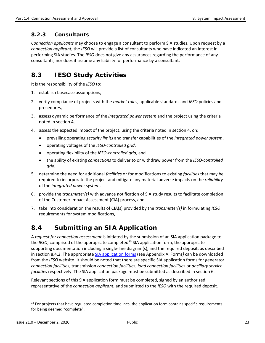### <span id="page-29-0"></span>**8.2.3 Consultants**

*Connection applicants* may choose to engage a consultant to perform SIA studies. Upon request by a *connection applicant*, the *IESO* will provide a list of consultants who have indicated an interest in performing SIA studies. The *IESO* does not give any assurances regarding the performance of any consultants, nor does it assume any liability for performance by a consultant.

### <span id="page-29-1"></span>**8.3 IESO Study Activities**

It is the responsibility of the *IESO* to:

- 1. establish basecase assumptions,
- 2. verify compliance of projects with the *market rules*, applicable standards and *IESO* policies and procedures,
- 3. assess dynamic performance of the *integrated power system* and the project using the criteria noted in section 4,
- 4. assess the expected impact of the project, using the criteria noted in section 4, on:
	- prevailing operating *security limits* and transfer capabilities of the *integrated power system*,
	- operating voltages of the *IESO-controlled grid*,
	- operating flexibility of the *IESO-controlled grid*, and
	- the ability of existing *connections* to deliver to or withdraw power from the *IESO-controlled grid*,
- 5. determine the need for additional *facilities* or for modifications to existing *facilities* that may be required to incorporate the project and mitigate any material adverse impacts on the *reliability* of the *integrated power system*,
- 6. provide the *transmitter(s)* with advance notification of SIA study results to facilitate completion of the Customer Impact Assessment (CIA) process, and
- 7. take into consideration the results of CIA(s) provided by the *transmitter(s)* in formulating *IESO* requirements for system modifications,

### <span id="page-29-2"></span>**8.4 Submitting an SIA Application**

A *request for connection assessment* is initiated by the submission of an SIA application package to the *IESO*, comprised of the appropriate completed<sup>[13](#page-29-3)</sup> SIA application form, the appropriate supporting documentation including a single-line diagram(s), and the required deposit, as described in section 8.4.2. The appropriate [SIA application forms](http://www.ieso.ca/en/sector-participants/connection-assessments/obtaining-a-connection-assessment) (see Appendix A, Forms*)* can be downloaded from the *IESO* website. It should be noted that there are specific SIA application forms for generator *connection facilities*, transmission *connection facilities*, *load connection facilities* or *ancillary service facilities* respectively. The SIA application package must be submitted as described in section 6.

Relevant sections of this SIA application form must be completed, signed by an authorized representative of the *connection applicant*, and submitted to the *IESO* with the required deposit.

l

<span id="page-29-3"></span> $13$  For projects that have regulated completion timelines, the application form contains specific requirements for being deemed "complete".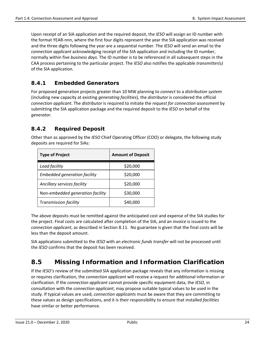Upon receipt of an SIA application and the required deposit, the *IESO* will assign an ID number with the format YEAR-nnn, where the first four digits represent the year the SIA application was received and the three digits following the year are a sequential number. The *IESO* will send an email to the *connection applicant* acknowledging receipt of the SIA application and including the ID number, normally within five *business days*. The ID number is to be referenced in all subsequent steps in the CAA process pertaining to the particular project. The *IESO* also notifies the applicable *transmitter(s)* of the SIA application.

### <span id="page-30-0"></span>**8.4.1 Embedded Generators**

For proposed generation projects greater than 10 MW planning to *connect* to a *distribution system*  (including new capacity at existing *generating facilities*)*,* the *distributor* is considered the official *connection applicant*. The *distributor* is required to initiate the *request for connection assessment* by submitting the SIA application package and the required deposit to the *IESO* on behalf of the *generator*.

### <span id="page-30-1"></span>**8.4.2 Required Deposit**

Other than as approved by the *IESO* Chief Operating Officer (COO) or delegate, the following study deposits are required for SIAs:

| <b>Type of Project</b>              | <b>Amount of Deposit</b> |
|-------------------------------------|--------------------------|
| Load facility                       | \$20,000                 |
| <b>Embedded generation facility</b> | \$20,000                 |
| Ancillary services facility         | \$20,000                 |
| Non-embedded generation facility    | \$30,000                 |
| Transmission facility               | \$40.000                 |

The above deposits must be remitted against the anticipated cost and expense of the SIA studies for the project. Final costs are calculated after completion of the SIA, and an *invoice* is issued to the *connection applicant*, as described in Section 8.11. No guarantee is given that the final costs will be less than the deposit amount.

SIA applications submitted to the *IESO* with an *electronic funds transfer* will not be processed until the *IESO* confirms that the deposit has been received.

### <span id="page-30-2"></span>**8.5 Missing Information and Information Clarification**

If the *IESO's* review of the submitted SIA application package reveals that any information is missing or requires clarification, the *connection applicant* will receive a request for additional information or clarification. If the *connection applicant* cannot provide specific equipment data, the *IESO*, in consultation with the *connection applicant*, may propose suitable typical values to be used in the study. If typical values are used, *connection applicants* must be aware that they are committing to these values as design specifications, and it is their responsibility to ensure that installed *facilities* have similar or better performance.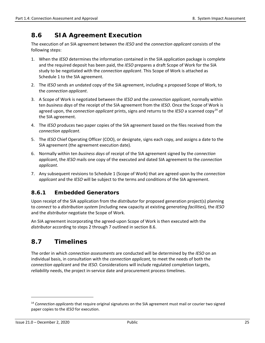### <span id="page-31-0"></span>**8.6 SIA Agreement Execution**

The execution of an SIA agreement between the *IESO* and the *connection applicant* consists of the following steps:

- 1. When the *IESO* determines the information contained in the SIA application package is complete and the required deposit has been paid, the *IESO* prepares a draft Scope of Work for the SIA study to be negotiated with the *connection applicant*. This Scope of Work is attached as Schedule 1 to the SIA agreement.
- 2. The *IESO* sends an undated copy of the SIA agreement, including a proposed Scope of Work, to the *connection applicant*.
- 3. A Scope of Work is negotiated between the *IESO* and the *connection applicant*, normally within ten *business days* of the receipt of the SIA agreement from the *IESO*. Once the Scope of Work is agreed upon, the *connection applicant* prints, signs and returns to the *IESO* a scanned copy[14](#page-31-3) of the SIA agreement.
- 4. The *IESO* produces two paper copies of the SIA agreement based on the files received from the *connection applicant*.
- 5. The *IESO* Chief Operating Officer (COO), or designate, signs each copy, and assigns a date to the SIA agreement (the agreement execution date).
- 6. Normally within ten *business days* of receipt of the SIA agreement signed by the *connection applicant*, the *IESO* mails one copy of the executed and dated SIA agreement to the *connection applicant*.
- 7. Any subsequent revisions to Schedule 1 (Scope of Work) that are agreed upon by the *connection applicant* and the *IESO* will be subject to the terms and conditions of the SIA agreement.

### <span id="page-31-1"></span>**8.6.1 Embedded Generators**

Upon receipt of the SIA application from the *distributor* for proposed generation project(s) planning to *connect* to a *distribution system* (including new capacity at existing *generating facilities*)*,* the *IESO* and the *distributor* negotiate the Scope of Work.

An SIA agreement incorporating the agreed-upon Scope of Work is then executed with the *distributor* according to steps 2 through 7 outlined in section 8.6.

### <span id="page-31-2"></span>**8.7 Timelines**

The order in which *connection assessments* are conducted will be determined by the *IESO* on an individual basis, in consultation with the *connection applicant,* to meet the needs of both the *connection applicant* and the *IESO*. Considerations will include regulated completion targets, *reliability* needs, the project in-service date and procurement process timelines.

l

<span id="page-31-3"></span><sup>14</sup> *Connection applicants* that require original signatures on the SIA agreement must mail or courier two signed paper copies to the *IESO* for execution.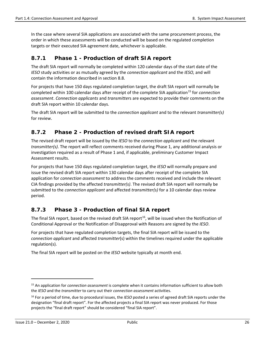In the case where several SIA applications are associated with the same procurement process, the order in which these assessments will be conducted will be based on the regulated completion targets or their executed SIA agreement date, whichever is applicable.

### <span id="page-32-0"></span>**8.7.1 Phase 1 - Production of draft SIA report**

The draft SIA report will normally be completed within 120 calendar days of the start date of the *IESO* study activities or as mutually agreed by the *connection applicant* and the *IESO,* and will contain the information described in section 8.8.

For projects that have 150 days regulated completion target, the draft SIA report will normally be completed within 100 calendar days after receipt of the complete SIA application<sup>[15](#page-32-3)</sup> for *connection assessment*. *Connection applicants* and *transmitter*s are expected to provide their comments on the draft SIA report within 10 calendar days.

The draft SIA report will be submitted to the *connection applicant* and to the relevant *transmitter(s)* for review.

### <span id="page-32-1"></span>**8.7.2 Phase 2 - Production of revised draft SIA report**

The revised draft report will be issued by the *IESO* to the *connection applicant* and the relevant *transmitter(s)*. The report will reflect comments received during Phase 1, any additional analysis or investigation required as a result of Phase 1 and, if applicable, preliminary Customer Impact Assessment results.

For projects that have 150 days regulated completion target, the *IESO* will normally prepare and issue the revised draft SIA report within 130 calendar days after receipt of the complete SIA application for *connection assessment* to address the comments received and include the relevant CIA findings provided by the affected *transmitter(s)*. The revised draft SIA report will normally be submitted to the *connection applicant* and affected *transmitter(s)* for a 10 calendar days review period.

### <span id="page-32-2"></span>**8.7.3 Phase 3 - Production of final SIA report**

The final SIA report, based on the revised draft SIA report<sup>16</sup>, will be issued when the Notification of Conditional Approval or the Notification of Disapproval with Reasons are signed by the *IESO*.

For projects that have regulated completion targets, the final SIA report will be issued to the *connection applicant* and affected *transmitter*(s) within the timelines required under the applicable regulation(s).

The final SIA report will be posted on the *IESO* website typically at month end.

 $\overline{\phantom{a}}$ 

<span id="page-32-3"></span><sup>15</sup> An application for *connection assessment* is complete when it contains information sufficient to allow both the *IESO* and the *transmitter* to carry out their *connection assessment* activities.

<span id="page-32-4"></span><sup>16</sup> For a period of time, due to procedural issues, the *IESO* posted a series of agreed draft SIA reports under the designation "final draft report". For the affected projects a final SIA report was never produced. For those projects the "final draft report" should be considered "final SIA report".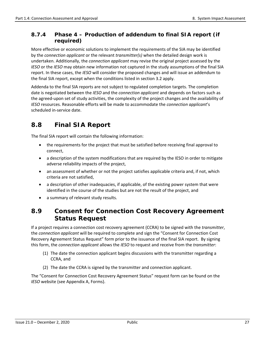### <span id="page-33-0"></span>**8.7.4 Phase 4 – Production of addendum to final SIA report (if required)**

More effective or economic solutions to implement the requirements of the SIA may be identified by the *connection applicant* or the relevant *transmitter(s)* when the detailed design work is undertaken. Additionally, the *connection applicant* may revise the original project assessed by the *IESO* or the *IESO* may obtain new information not captured in the study assumptions of the final SIA report. In these cases, the *IESO* will consider the proposed changes and will issue an addendum to the final SIA report, except when the conditions listed in section 3.2 apply.

Addenda to the final SIA reports are not subject to regulated completion targets. The completion date is negotiated between the *IESO* and the *connection applicant* and depends on factors such as the agreed-upon set of study activities, the complexity of the project changes and the availability of *IESO* resources. Reasonable efforts will be made to accommodate the *connection applicant*'s scheduled in-service date.

### <span id="page-33-1"></span>**8.8 Final SIA Report**

The final SIA report will contain the following information:

- the requirements for the project that must be satisfied before receiving final approval to connect,
- a description of the system modifications that are required by the IESO in order to mitigate adverse reliability impacts of the project,
- an assessment of whether or not the project satisfies applicable criteria and, if not, which criteria are not satisfied,
- a description of other inadequacies, if applicable, of the existing power system that were identified in the course of the studies but are not the result of the project, and
- a summary of relevant study results.

### <span id="page-33-2"></span>**8.9 Consent for Connection Cost Recovery Agreement Status Request**

If a project requires a connection cost recovery agreement (CCRA) to be signed with the *transmitter*, the *connection applicant* will be required to complete and sign the "Consent for Connection Cost Recovery Agreement Status Request" form prior to the issuance of the final SIA report. By signing this form, the *connection applicant* allows the *IESO* to request and receive from the *transmitter*:

- (1) The date the connection applicant begins discussions with the transmitter regarding a CCRA, and
- (2) The date the CCRA is signed by the transmitter and connection applicant.

The "Consent for Connection Cost Recovery Agreement Status" request form can be found on the *IESO* website (see Appendix A, Forms).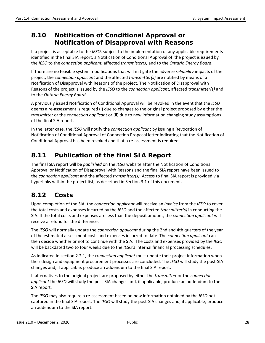### <span id="page-34-0"></span>**8.10 Notification of Conditional Approval or Notification of Disapproval with Reasons**

If a project is acceptable to the *IESO*, subject to the implementation of any applicable requirements identified in the final SIA report, a Notification of Conditional Approval of the project is issued by the *IESO* to the *connection applicant,* affected *transmitter(s)* and to the *Ontario Energy Board*.

If there are no feasible system modifications that will mitigate the adverse *reliability* impacts of the project, the *connection applicant* and the affected *transmitter(s)* are notified by means of a Notification of Disapproval with Reasons of the project*.* The Notification of Disapproval with Reasons of the project is issued by the *IESO* to the *connection applicant*, affected *transmitter(s)* and to the *Ontario Energy Board.*

A previously issued Notification of Conditional Approval will be revoked in the event that the *IESO*  deems a re-assessment is required (i) due to changes to the original project proposed by either the *transmitter* or the *connection applicant* or (ii) due to new information changing study assumptions of the final SIA report.

In the latter case, the *IESO* will notify the *connection applicant* by issuing a Revocation of Notification of Conditional Approval of Connection Proposal letter indicating that the Notification of Conditional Approval has been revoked and that a re-assessment is required.

### <span id="page-34-1"></span>**8.11 Publication of the final SIA Report**

The final SIA report will be *published* on the *IESO* website after the Notification of Conditional Approval or Notification of Disapproval with Reasons and the final SIA report have been issued to the *connection applicant* and the affected *transmitter(s).* Access to final SIA report is provided via hyperlinks within the project list, as described in Section 3.1 of this document.

### <span id="page-34-2"></span>**8.12 Costs**

Upon completion of the SIA, the *connection applicant* will receive an *invoice* from the *IESO* to cover the total costs and expenses incurred by the *IESO* and the affected *transmitter(s)* in conducting the SIA. If the total costs and expenses are less than the deposit amount, the *connection applicant* will receive a refund for the difference.

The *IESO* will normally update the *connection applicant* during the 2nd and 4th quarters of the year of the estimated assessment costs and expenses incurred to date. The *connection applicant* can then decide whether or not to continue with the SIA. The costs and expenses provided by the *IESO* will be backdated two to four weeks due to the *IESO's* internal financial processing schedules.

As indicated in section 2.2.1, the *connection applicant* must update their project information when their design and equipment procurement processes are concluded. The *IESO* will study the post-SIA changes and, if applicable, produce an addendum to the final SIA report.

If alternatives to the original project are proposed by either the *transmitter* or the *connection applicant* the *IESO* will study the post-SIA changes and, if applicable, produce an addendum to the SIA report.

The *IESO* may also require a re-assessment based on new information obtained by the *IESO* not captured in the final SIA report. The *IESO* will study the post-SIA changes and, if applicable, produce an addendum to the SIA report.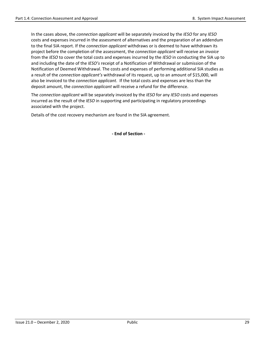In the cases above, the *connection applicant* will be separately invoiced by the *IESO* for any *IESO* costs and expenses incurred in the assessment of alternatives and the preparation of an addendum to the final SIA report. If the *connection applicant* withdraws or is deemed to have withdrawn its project before the completion of the assessment, the *connection applicant* will receive an *invoice* from the *IESO* to cover the total costs and expenses incurred by the *IESO* in conducting the SIA up to and including the date of the *IESO's* receipt of a Notification of Withdrawal or submission of the Notification of Deemed Withdrawal. The costs and expenses of performing additional SIA studies as a result of the *connection applicant's* withdrawal of its request, up to an amount of \$15,000, will also be invoiced to the *connection applicant*. If the total costs and expenses are less than the deposit amount, the *connection applicant* will receive a refund for the difference.

The *connection applicant* will be separately invoiced by the *IESO* for any *IESO* costs and expenses incurred as the result of the *IESO* in supporting and participating in regulatory proceedings associated with the project.

Details of the cost recovery mechanism are found in the SIA agreement.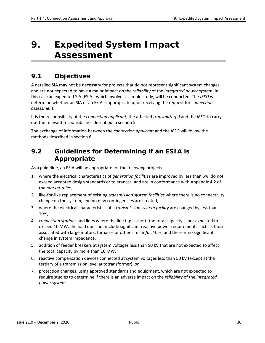# <span id="page-36-0"></span>**9. Expedited System Impact Assessment**

### <span id="page-36-1"></span>**9.1 Objectives**

A detailed SIA may not be necessary for projects that do not represent significant system changes and are not expected to have a major impact on the *reliability* of the *integrated power system*. In this case an expedited SIA (ESIA), which involves a simple study, will be conducted. The *IESO* will determine whether an SIA or an ESIA is appropriate upon receiving the request for *connection assessment.*

It is the responsibility of the *connection applicant*, the affected *transmitter(s)* and the *IESO* to carry out the relevant responsibilities described in section 5.

The exchange of information between the *connection applicant* and the *IESO* will follow the methods described in section 6.

### <span id="page-36-2"></span>**9.2 Guidelines for Determining if an ESIA is Appropriate**

As a guideline, an ESIA will be appropriate for the following projects:

- 1. where the electrical characteristics of *generation facilities* are improved by less than 5%, do not exceed accepted design standards or tolerances, and are in conformance with Appendix 4.2 of the *market rules*,
- 2. like-for-like replacement of existing *transmission system facilities* where there is no connectivity change on the system, and no new contingencies are created,
- 3. where the electrical characteristics of a *transmission system facility* are changed by less than 10%,
- 4. *connection stations* and lines where the line tap is short, the total capacity is not expected to exceed 10 MW, the load does not include significant reactive power requirements such as those associated with large motors, furnaces or other similar *facilities*, and there is no significant change in system impedance,
- 5. addition of feeder breakers at system voltages less than 50 kV that are not expected to affect the total capacity by more than 10 MW,
- 6. reactive compensation devices connected at system voltages less than 50 kV (except at the tertiary of a transmission level autotransformer), or
- 7. protection changes, using approved standards and equipment, which are not expected to require studies to determine if there is an adverse impact on the *reliability* of the *integrated power system*.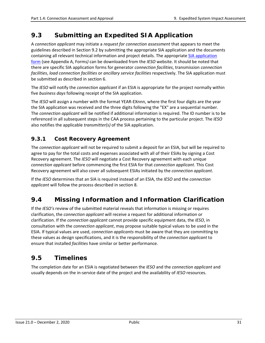### <span id="page-37-0"></span>**9.3 Submitting an Expedited SIA Application**

A *connection applicant* may initiate a *request for connection assessment* that appears to meet the guidelines described in Section 9.2 by submitting the appropriate SIA application and the documents containing all relevant technical information and project details. The appropriate [SIA application](http://www.ieso.ca/en/sector-participants/connection-assessments/obtaining-a-connection-assessment)  [form](http://www.ieso.ca/en/sector-participants/connection-assessments/obtaining-a-connection-assessment) (see Appendix A, Forms*)* can be downloaded from the *IESO* website. It should be noted that there are specific SIA application forms for generator *connection facilities*, transmission *connection facilities*, *load connection facilities* or *ancillary service facilities* respectively. The SIA application must be submitted as described in section 6.

The *IESO* will notify the *connection applicant* if an ESIA is appropriate for the project normally within five *business days* following receipt of the SIA application.

The *IESO* will assign a number with the format YEAR-EXnnn, where the first four digits are the year the SIA application was received and the three digits following the "EX" are a sequential number. The *connection applicant* will be notified if additional information is required. The ID number is to be referenced in all subsequent steps in the CAA process pertaining to the particular project. The *IESO* also notifies the applicable *transmitter(s)* of the SIA application.

### <span id="page-37-1"></span>**9.3.1 Cost Recovery Agreement**

The *connection applicant* will not be required to submit a deposit for an ESIA, but will be required to agree to pay for the total costs and expenses associated with all of their ESIAs by signing a Cost Recovery agreement. The *IESO* will negotiate a Cost Recovery agreement with each unique *connection applicant* before commencing the first ESIA for that *connection applicant*. This Cost Recovery agreement will also cover all subsequent ESIAs initiated by the *connection applicant*.

If the *IESO* determines that an SIA is required instead of an ESIA, the *IESO* and the *connection applicant* will follow the process described in section 8.

### <span id="page-37-2"></span>**9.4 Missing Information and Information Clarification**

If the *IESO's* review of the submitted material reveals that information is missing or requires clarification, the *connection applicant* will receive a request for additional information or clarification. If the *connection applicant* cannot provide specific equipment data, the *IESO*, in consultation with the *connection applicant*, may propose suitable typical values to be used in the ESIA. If typical values are used, *connection applicants* must be aware that they are committing to these values as design specifications, and it is the responsibility of the *connection applicant* to ensure that installed *facilities* have similar or better performance.

### <span id="page-37-3"></span>**9.5 Timelines**

The completion date for an ESIA is negotiated between the *IESO* and the *connection applicant* and usually depends on the in-service date of the project and the availability of *IESO* resources.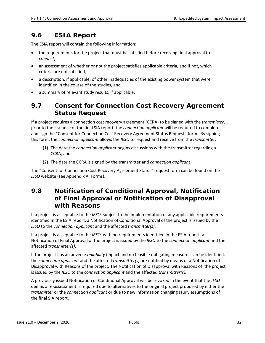### <span id="page-38-0"></span>**9.6 ESIA Report**

The ESIA report will contain the following information:

- the requirements for the project that must be satisfied before receiving final approval to *connect*,
- an assessment of whether or not the project satisfies applicable criteria, and if not, which criteria are not satisfied,
- a description, if applicable, of other inadequacies of the existing power system that were identified in the course of the studies, and
- a summary of relevant study results, if applicable.

### <span id="page-38-1"></span>**9.7 Consent for Connection Cost Recovery Agreement Status Request**

If a project requires a connection cost recovery agreement (CCRA) to be signed with the *transmitter*, prior to the issuance of the final SIA report, the *connection applicant* will be required to complete and sign the "Consent for Connection Cost Recovery Agreement Status Request" form. By signing this form, the *connection applicant* allows the *IESO* to request and receive from the *transmitter*:

- (1) The date the *connection applicant* begins discussions with the transmitter regarding a CCRA, and
- (2) The date the CCRA is signed by the transmitter and *connection applicant*.

The "Consent for Connection Cost Recovery Agreement Status" request form can be found on the *IESO* website (see Appendix A, Forms).

### <span id="page-38-2"></span>**9.8 Notification of Conditional Approval, Notification of Final Approval or Notification of Disapproval with Reasons**

If a project is acceptable to the *IESO*, subject to the implementation of any applicable requirements identified in the ESIA report, a Notification of Conditional Approval of the project is issued by the *IESO* to the *connection applicant* and the affected *transmitter(s)*.

If a project is acceptable to the *IESO*, with no requirements identified in the ESIA report, a Notification of Final Approval of the project is issued by the *IESO* to the *connection applicant* and the affected *transmitter(s)*.

If the project has an adverse *reliability* impact and no feasible mitigating measures can be identified, the *connection applicant* and the affected *transmitter(s)* are notified by means of a Notification of Disapproval with Reasons of the project*.* The Notification of Disapproval with Reasons of the project is issued by the *IESO* to the *connection applicant* and the affected *transmitter(s).*

A previously issued Notification of Conditional Approval will be revoked in the event that the *IESO*  deems a re-assessment is required due to alternatives to the original project proposed by either the *transmitter* or the *connection applicant* or due to new information changing study assumptions of the final SIA report.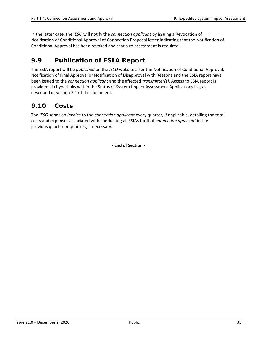In the latter case, the *IESO* will notify the *connection applicant* by issuing a Revocation of Notification of Conditional Approval of Connection Proposal letter indicating that the Notification of Conditional Approval has been revoked and that a re-assessment is required.

### <span id="page-39-0"></span>**9.9 Publication of ESIA Report**

The ESIA report will be *published* on the *IESO* website after the Notification of Conditional Approval, Notification of Final Approval or Notification of Disapproval with Reasons and the ESIA report have been issued to the *connection applicant* and the affected *transmitter(s).* Access to ESIA report is provided via hyperlinks within the Status of System Impact Assessment Applications list, as described in Section 3.1 of this document.

### <span id="page-39-1"></span>**9.10 Costs**

The *IESO* sends an *invoice* to the *connection applicant* every quarter, if applicable, detailing the total costs and expenses associated with conducting all ESIAs for that *connection applicant* in the previous quarter or quarters, if necessary.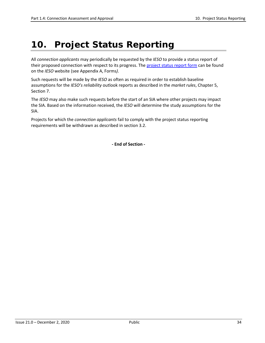# <span id="page-40-0"></span>**10. Project Status Reporting**

All *connection applicants* may periodically be requested by the *IESO* to provide a status report of their proposed connection with respect to its progress. The [project status](http://www.ieso.ca/en/sector-participants/market-operations/-/media/840a99862f8244adbb80c9ed183ab8d5.ashx) report form can be found on the *IESO* website (see Appendix A, Forms*)*.

Such requests will be made by the *IESO* as often as required in order to establish baseline assumptions for the *IESO's reliability* outlook reports as described in the *market rules*, Chapter 5, Section 7.

The *IESO* may also make such requests before the start of an SIA where other projects may impact the SIA. Based on the information received, the *IESO* will determine the study assumptions for the SIA.

Projects for which the *connection applicants* fail to comply with the project status reporting requirements will be withdrawn as described in section 3.2.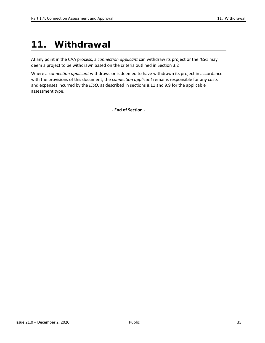# <span id="page-41-0"></span>**11. Withdrawal**

At any point in the CAA process, a *connection applicant* can withdraw its project or the *IESO* may deem a project to be withdrawn based on the criteria outlined in Section 3.2

Where a *connection applicant* withdraws or is deemed to have withdrawn its project in accordance with the provisions of this document, the *connection applicant* remains responsible for any costs and expenses incurred by the *IESO*, as described in sections 8.11 and 9.9 for the applicable assessment type.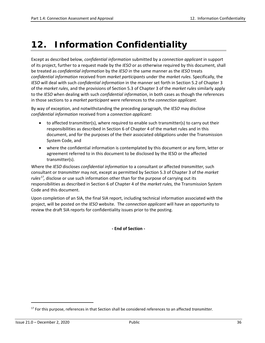# <span id="page-42-0"></span>**12. Information Confidentiality**

Except as described below, *confidential information* submitted by a *connection applicant* in support of its project, further to a request made by the *IESO* or as otherwise required by this document, shall be treated as *confidential information* by the *IESO* in the same manner as the *IESO* treats *confidential information* received from *market participants* under the *market rules*. Specifically, the *IESO* will deal with such *confidential information* in the manner set forth in Section 5.2 of Chapter 3 of the *market rules*, and the provisions of Section 5.3 of Chapter 3 of the *market rules* similarly apply to the *IESO* when dealing with such *confidential information*, in both cases as though the references in those sections to a *market participant* were references to the *connection applicant*.

By way of exception, and notwithstanding the preceding paragraph, the *IESO* may disclose *confidential information* received from a *connection applicant*:

- to affected transmitter(s), where required to enable such transmitter(s) to carry out their responsibilities as described in Section 6 of Chapter 4 of the market rules and in this document, and for the purposes of the their associated obligations under the Transmission System Code, and
- where the confidential information is contemplated by this document or any form, letter or agreement referred to in this document to be disclosed by the IESO or the affected transmitter(s).

Where the *IESO* discloses *confidential information* to a consultant or affected *transmitter*, such consultant or *transmitter* may not, except as permitted by Section 5.3 of Chapter 3 of the *market rules[17](#page-42-1),* disclose or use such information other than for the purpose of carrying out its responsibilities as described in Section 6 of Chapter 4 of the *market rules,* the Transmission System Code and this document.

Upon completion of an SIA, the final SIA report, including technical information associated with the project, will be posted on the *IESO* website. The *connection applicant* will have an opportunity to review the draft SIA reports for confidentiality issues prior to the posting.

**- End of Section -** 

 $\overline{a}$ 

<span id="page-42-1"></span><sup>17</sup> For this purpose, references in that Section shall be considered references to an affected *transmitter.*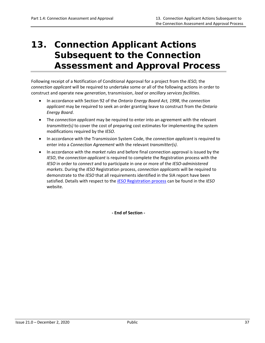# <span id="page-43-0"></span>**13. Connection Applicant Actions Subsequent to the Connection Assessment and Approval Process**

Following receipt of a Notification of Conditional Approval for a project from the *IESO,* the *connection applicant* will be required to undertake some or all of the following actions in order to construct and operate new *generation*, transmission, *load* or *ancillary services facilities*.

- In accordance with Section 92 of the *Ontario Energy Board Act, 1998*, the *connection applicant* may be required to seek an order granting leave to construct from the *Ontario Energy Board*.
- The *connection applicant* may be required to enter into an agreement with the relevant *transmitter(s)* to cover the cost of preparing cost estimates for implementing the system modifications required by the *IESO*.
- In accordance with the Transmission System Code, the *connection applicant* is required to enter into a *Connection Agreement* with the relevant *transmitter(s)*.
- In accordance with the *market rules* and before final connection approval is issued by the *IESO*, the *connection applicant* is required to complete the Registration process with the *IESO* in order to *connect* and to participate in one or more of the *IESO-administered markets*. During the *IESO* Registration process, *connection applicants* will be required to demonstrate to the *IESO* that all requirements identified in the SIA report have been satisfied. Details with respect to the *IESO* [Registration](http://www.ieso.ca/en/Sector-Participants/Connection-Process/Register-Equipment) process can be found in the *IESO* website.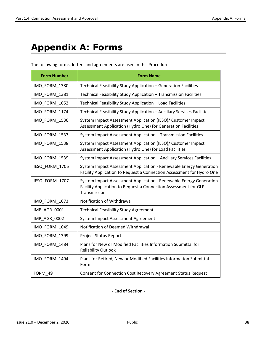# <span id="page-44-0"></span>**Appendix A: Forms**

The following forms, letters and agreements are used in this Procedure.

| <b>Form Number</b> | <b>Form Name</b>                                                                                                                                      |  |
|--------------------|-------------------------------------------------------------------------------------------------------------------------------------------------------|--|
| IMO_FORM_1380      | Technical Feasibility Study Application - Generation Facilities                                                                                       |  |
| IMO_FORM_1381      | Technical Feasibility Study Application - Transmission Facilities                                                                                     |  |
| IMO_FORM_1052      | Technical Feasibility Study Application - Load Facilities                                                                                             |  |
| IMO_FORM_1174      | Technical Feasibility Study Application - Ancillary Services Facilities                                                                               |  |
| IMO FORM 1536      | System Impact Assessment Application (IESO)/ Customer Impact<br>Assessment Application (Hydro One) for Generation Facilities                          |  |
| IMO FORM 1537      | System Impact Assessment Application - Transmission Facilities                                                                                        |  |
| IMO_FORM_1538      | System Impact Assessment Application (IESO)/ Customer Impact<br>Assessment Application (Hydro One) for Load Facilities                                |  |
| IMO_FORM_1539      | System Impact Assessment Application - Ancillary Services Facilities                                                                                  |  |
| IESO_FORM_1706     | System Impact Assessment Application - Renewable Energy Generation<br>Facility Application to Request a Connection Assessment for Hydro One           |  |
| IESO FORM 1707     | System Impact Assessment Application - Renewable Energy Generation<br>Facility Application to Request a Connection Assessment for GLP<br>Transmission |  |
| IMO_FORM_1073      | Notification of Withdrawal                                                                                                                            |  |
| IMP_AGR_0001       | <b>Technical Feasibility Study Agreement</b>                                                                                                          |  |
| IMP_AGR_0002       | System Impact Assessment Agreement                                                                                                                    |  |
| IMO_FORM_1049      | Notification of Deemed Withdrawal                                                                                                                     |  |
| IMO FORM 1399      | <b>Project Status Report</b>                                                                                                                          |  |
| IMO_FORM_1484      | Plans for New or Modified Facilities Information Submittal for<br><b>Reliability Outlook</b>                                                          |  |
| IMO_FORM_1494      | Plans for Retired, New or Modified Facilities Information Submittal<br>Form                                                                           |  |
| FORM 49            | Consent for Connection Cost Recovery Agreement Status Request                                                                                         |  |